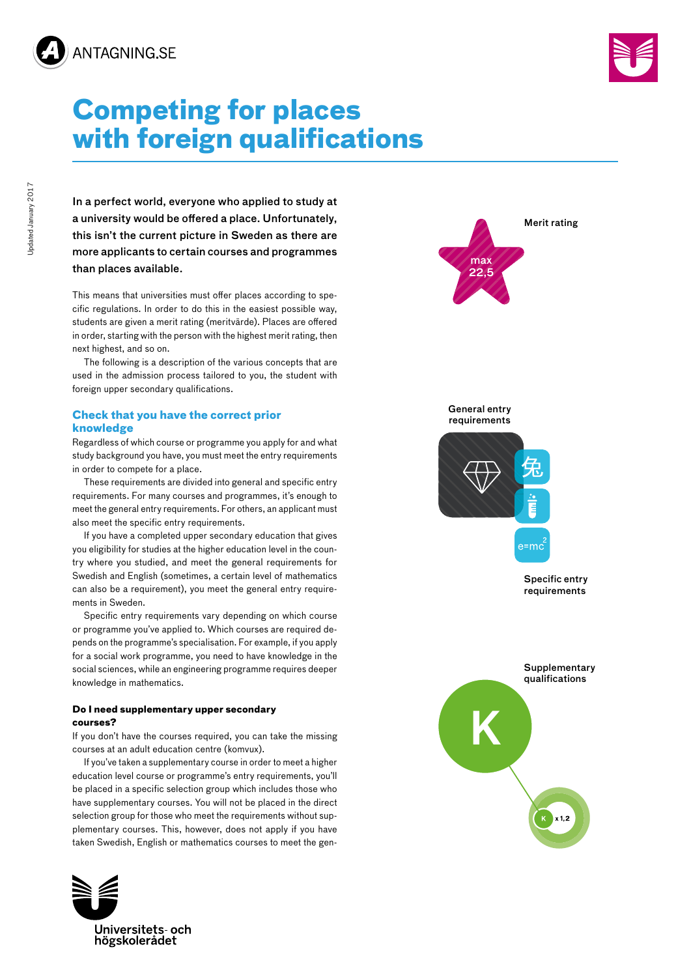



# **Competing for places with foreign qualifications**

In a perfect world, everyone who applied to study at a university would be offered a place. Unfortunately, this isn't the current picture in Sweden as there are more applicants to certain courses and programmes than places available.

This means that universities must offer places according to specific regulations. In order to do this in the easiest possible way, students are given a merit rating (meritvärde). Places are offered in order, starting with the person with the highest merit rating, then next highest, and so on.

The following is a description of the various concepts that are used in the admission process tailored to you, the student with foreign upper secondary qualifications.

## **Check that you have the correct prior knowledge**

Regardless of which course or programme you apply for and what study background you have, you must meet the entry requirements in order to compete for a place.

These requirements are divided into general and specific entry requirements. For many courses and programmes, it's enough to meet the general entry requirements. For others, an applicant must also meet the specific entry requirements.

If you have a completed upper secondary education that gives you eligibility for studies at the higher education level in the country where you studied, and meet the general requirements for Swedish and English (sometimes, a certain level of mathematics can also be a requirement), you meet the general entry requirements in Sweden.

Specific entry requirements vary depending on which course or programme you've applied to. Which courses are required depends on the programme's specialisation. For example, if you apply for a social work programme, you need to have knowledge in the social sciences, while an engineering programme requires deeper knowledge in mathematics.

### **Do I need supplementary upper secondary courses?**

If you don't have the courses required, you can take the missing courses at an adult education centre (komvux).

If you've taken a supplementary course in order to meet a higher education level course or programme's entry requirements, you'll be placed in a specific selection group which includes those who have supplementary courses. You will not be placed in the direct selection group for those who meet the requirements without supplementary courses. This, however, does not apply if you have taken Swedish, English or mathematics courses to meet the gen-



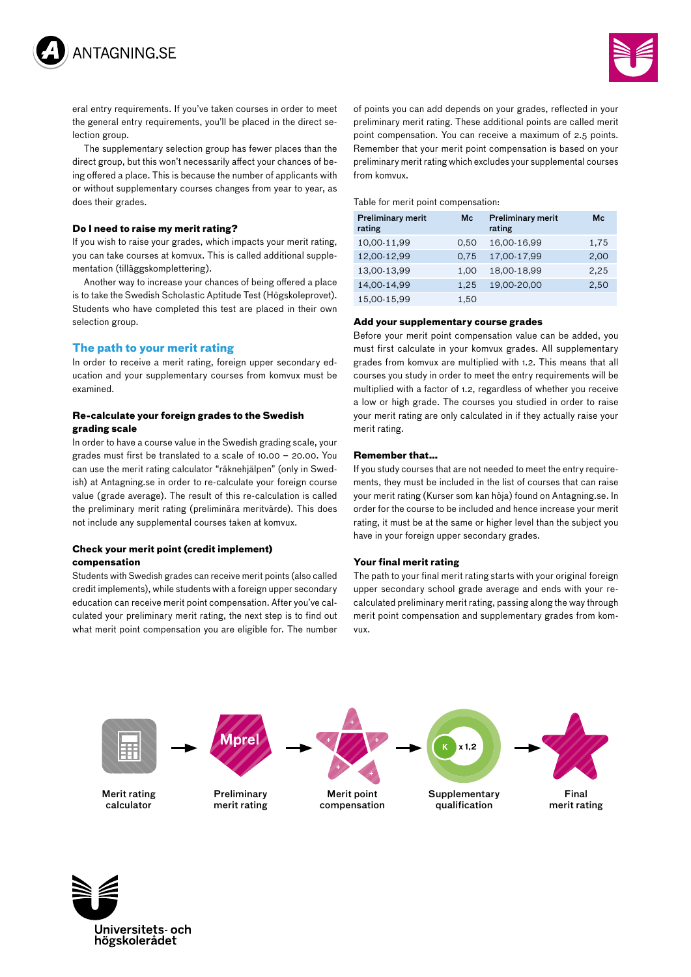



eral entry requirements. If you've taken courses in order to meet the general entry requirements, you'll be placed in the direct selection group.

The supplementary selection group has fewer places than the direct group, but this won't necessarily affect your chances of being offered a place. This is because the number of applicants with or without supplementary courses changes from year to year, as does their grades.

#### **Do I need to raise my merit rating?**

If you wish to raise your grades, which impacts your merit rating, you can take courses at komvux. This is called additional supplementation (tilläggskomplettering).

Another way to increase your chances of being offered a place is to take the Swedish Scholastic Aptitude Test (Högskoleprovet). Students who have completed this test are placed in their own selection group.

#### **The path to your merit rating**

In order to receive a merit rating, foreign upper secondary education and your supplementary courses from komvux must be examined.

#### **Re-calculate your foreign grades to the Swedish grading scale**

In order to have a course value in the Swedish grading scale, your grades must first be translated to a scale of 10.00 – 20.00. You can use the merit rating calculator "räknehjälpen" (only in Swedish) at Antagning.se in order to re-calculate your foreign course value (grade average). The result of this re-calculation is called the preliminary merit rating (preliminära meritvärde). This does not include any supplemental courses taken at komvux.

### **Check your merit point (credit implement) compensation**

Students with Swedish grades can receive merit points (also called credit implements), while students with a foreign upper secondary education can receive merit point compensation. After you've calculated your preliminary merit rating, the next step is to find out what merit point compensation you are eligible for. The number of points you can add depends on your grades, reflected in your preliminary merit rating. These additional points are called merit point compensation. You can receive a maximum of 2.5 points. Remember that your merit point compensation is based on your preliminary merit rating which excludes your supplemental courses from komvux.

Table for merit point compensation:

| <b>Preliminary merit</b><br>rating | Mc   | <b>Preliminary merit</b><br>rating | Mc   |
|------------------------------------|------|------------------------------------|------|
| 10,00-11,99                        | 0,50 | 16,00-16,99                        | 1,75 |
| 12,00-12,99                        | 0,75 | 17,00-17,99                        | 2,00 |
| 13,00-13,99                        | 1,00 | 18,00-18,99                        | 2.25 |
| 14,00-14,99                        | 1,25 | 19,00-20,00                        | 2,50 |
| 15,00-15,99                        | 1,50 |                                    |      |

## **Add your supplementary course grades**

Before your merit point compensation value can be added, you must first calculate in your komvux grades. All supplementary grades from komvux are multiplied with 1.2. This means that all courses you study in order to meet the entry requirements will be multiplied with a factor of 1.2, regardless of whether you receive a low or high grade. The courses you studied in order to raise your merit rating are only calculated in if they actually raise your merit rating.

#### **Remember that…**

If you study courses that are not needed to meet the entry requirements, they must be included in the list of courses that can raise your merit rating (Kurser som kan höja) found on Antagning.se. In order for the course to be included and hence increase your merit rating, it must be at the same or higher level than the subject you have in your foreign upper secondary grades.

#### **Your final merit rating**

The path to your final merit rating starts with your original foreign upper secondary school grade average and ends with your recalculated preliminary merit rating, passing along the way through merit point compensation and supplementary grades from komvux.